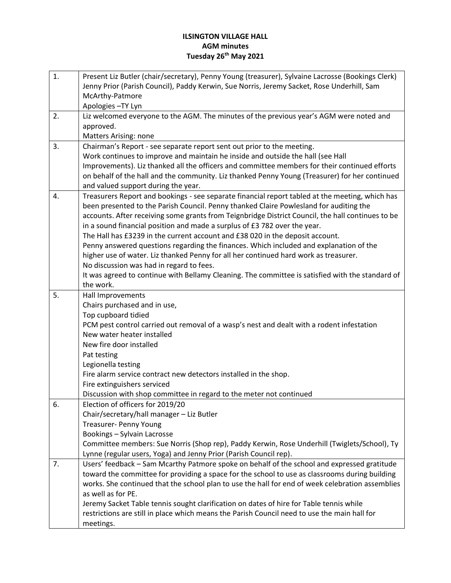## **ILSINGTON VILLAGE HALL AGM minutes Tuesday 26th May 2021**

| 1. | Present Liz Butler (chair/secretary), Penny Young (treasurer), Sylvaine Lacrosse (Bookings Clerk)                                                                                             |
|----|-----------------------------------------------------------------------------------------------------------------------------------------------------------------------------------------------|
|    | Jenny Prior (Parish Council), Paddy Kerwin, Sue Norris, Jeremy Sacket, Rose Underhill, Sam                                                                                                    |
|    | McArthy-Patmore                                                                                                                                                                               |
|    | Apologies-TY Lyn                                                                                                                                                                              |
| 2. | Liz welcomed everyone to the AGM. The minutes of the previous year's AGM were noted and                                                                                                       |
|    | approved.                                                                                                                                                                                     |
|    | Matters Arising: none                                                                                                                                                                         |
| 3. | Chairman's Report - see separate report sent out prior to the meeting.                                                                                                                        |
|    | Work continues to improve and maintain he inside and outside the hall (see Hall                                                                                                               |
|    | Improvements). Liz thanked all the officers and committee members for their continued efforts                                                                                                 |
|    | on behalf of the hall and the community. Liz thanked Penny Young (Treasurer) for her continued                                                                                                |
|    | and valued support during the year.                                                                                                                                                           |
| 4. | Treasurers Report and bookings - see separate financial report tabled at the meeting, which has                                                                                               |
|    | been presented to the Parish Council. Penny thanked Claire Powlesland for auditing the                                                                                                        |
|    | accounts. After receiving some grants from Teignbridge District Council, the hall continues to be                                                                                             |
|    | in a sound financial position and made a surplus of £3 782 over the year.                                                                                                                     |
|    | The Hall has £3239 in the current account and £38 020 in the deposit account.                                                                                                                 |
|    | Penny answered questions regarding the finances. Which included and explanation of the                                                                                                        |
|    | higher use of water. Liz thanked Penny for all her continued hard work as treasurer.                                                                                                          |
|    | No discussion was had in regard to fees.                                                                                                                                                      |
|    | It was agreed to continue with Bellamy Cleaning. The committee is satisfied with the standard of                                                                                              |
|    | the work.                                                                                                                                                                                     |
| 5. | Hall Improvements                                                                                                                                                                             |
|    | Chairs purchased and in use,                                                                                                                                                                  |
|    | Top cupboard tidied                                                                                                                                                                           |
|    | PCM pest control carried out removal of a wasp's nest and dealt with a rodent infestation                                                                                                     |
|    | New water heater installed                                                                                                                                                                    |
|    | New fire door installed                                                                                                                                                                       |
|    | Pat testing                                                                                                                                                                                   |
|    | Legionella testing                                                                                                                                                                            |
|    | Fire alarm service contract new detectors installed in the shop.                                                                                                                              |
|    | Fire extinguishers serviced                                                                                                                                                                   |
|    | Discussion with shop committee in regard to the meter not continued                                                                                                                           |
| 6. | Election of officers for 2019/20                                                                                                                                                              |
|    | Chair/secretary/hall manager - Liz Butler                                                                                                                                                     |
|    | Treasurer- Penny Young                                                                                                                                                                        |
|    | Bookings - Sylvain Lacrosse                                                                                                                                                                   |
|    | Committee members: Sue Norris (Shop rep), Paddy Kerwin, Rose Underhill (Twiglets/School), Ty                                                                                                  |
| 7. | Lynne (regular users, Yoga) and Jenny Prior (Parish Council rep).                                                                                                                             |
|    | Users' feedback - Sam Mcarthy Patmore spoke on behalf of the school and expressed gratitude<br>toward the committee for providing a space for the school to use as classrooms during building |
|    | works. She continued that the school plan to use the hall for end of week celebration assemblies                                                                                              |
|    | as well as for PE.                                                                                                                                                                            |
|    |                                                                                                                                                                                               |
|    | Jeremy Sacket Table tennis sought clarification on dates of hire for Table tennis while                                                                                                       |
|    | restrictions are still in place which means the Parish Council need to use the main hall for                                                                                                  |
|    | meetings.                                                                                                                                                                                     |